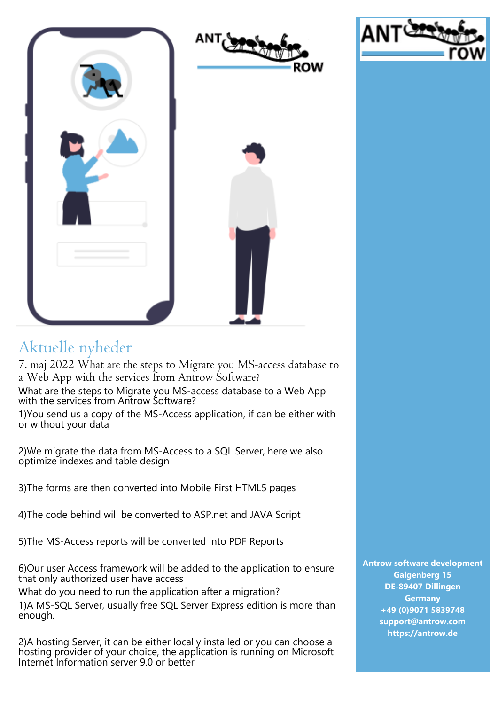

## Aktuelle nyheder

7. maj 2022 What are the steps to Migrate you MS-access database to a Web App with the services from Antrow Software?

What are the steps to Migrate you MS-access database to a Web App with the services from Antrow Software?

1)You send us a copy of the MS-Access application, if can be either with or without your data

2)We migrate the data from MS-Access to a SQL Server, here we also optimize indexes and table design

3)The forms are then converted into Mobile First HTML5 pages

4)The code behind will be converted to ASP.net and JAVA Script

5)The MS-Access reports will be converted into PDF Reports

6)Our user Access framework will be added to the application to ensure that only authorized user have access

What do you need to run the application after a migration?

1)A MS-SQL Server, usually free SQL Server Express edition is more than enough.

2)A hosting Server, it can be either locally installed or you can choose a hosting provider of your choice, the application is running on Microsoft Internet Information server 9.0 or better

**Antrow software development Galgenberg 15 DE-89407 Dillingen Germany +49 (0)9071 5839748 support@antrow.com https://antrow.de**